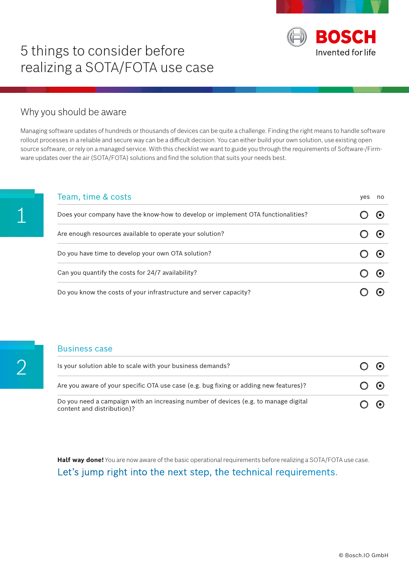

# 5 things to consider before realizing a SOTA/FOTA use case

## Why you should be aware

Managing software updates of hundreds or thousands of devices can be quite a challenge. Finding the right means to handle software rollout processes in a reliable and secure way can be a difficult decision. You can either build your own solution, use existing open source software, or rely on a managed service. With this checklist we want to guide you through the requirements of Software-/Firmware updates over the air (SOTA/FOTA) solutions and find the solution that suits your needs best.

| Team, time & costs                                                               | yes | no |
|----------------------------------------------------------------------------------|-----|----|
| Does your company have the know-how to develop or implement OTA functionalities? |     |    |
| Are enough resources available to operate your solution?                         |     |    |
| Do you have time to develop your own OTA solution?                               |     |    |
| Can you quantify the costs for 24/7 availability?                                |     |    |
| Do you know the costs of your infrastructure and server capacity?                |     |    |

#### Business case

| Is your solution able to scale with your business demands?                                                        | $(\bullet)$ |
|-------------------------------------------------------------------------------------------------------------------|-------------|
| Are you aware of your specific OTA use case (e.g. bug fixing or adding new features)?                             | $\odot$     |
| Do you need a campaign with an increasing number of devices (e.g. to manage digital<br>content and distribution)? | $\odot$     |

**Half way done!** You are now aware of the basic operational requirements before realizing a SOTA/FOTA use case. Let's jump right into the next step, the technical requirements.

1